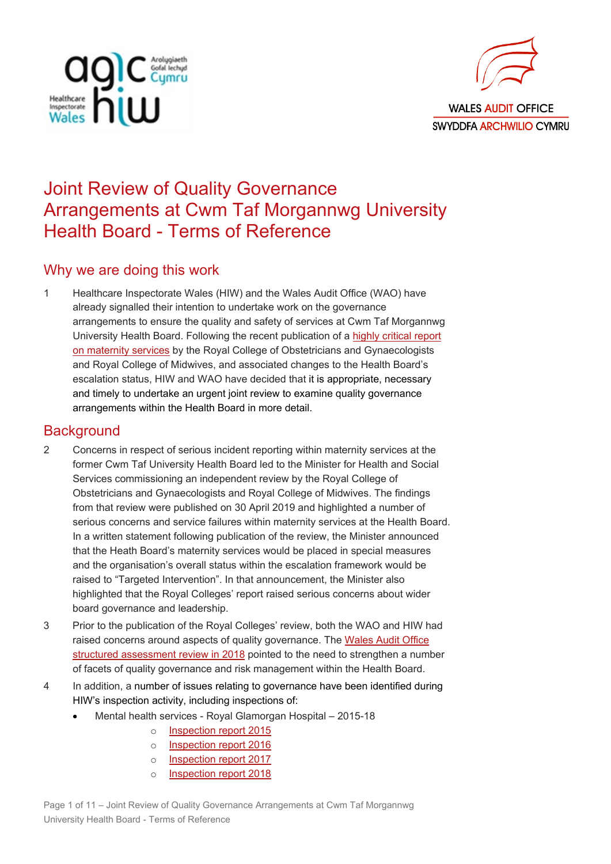



# Joint Review of Quality Governance Arrangements at Cwm Taf Morgannwg University Health Board - Terms of Reference

## Why we are doing this work

1 Healthcare Inspectorate Wales (HIW) and the Wales Audit Office (WAO) have already signalled their intention to undertake work on the governance arrangements to ensure the quality and safety of services at Cwm Taf Morgannwg University Health Board. Following the recent publication of a [highly critical report](https://gov.wales/review-maternity-services-former-cwm-taf-university-health-board)  [on maternity services](https://gov.wales/review-maternity-services-former-cwm-taf-university-health-board) by the Royal College of Obstetricians and Gynaecologists and Royal College of Midwives, and associated changes to the Health Board's escalation status, HIW and WAO have decided that it is appropriate, necessary and timely to undertake an urgent joint review to examine quality governance arrangements within the Health Board in more detail.

### **Background**

- 2 Concerns in respect of serious incident reporting within maternity services at the former Cwm Taf University Health Board led to the Minister for Health and Social Services commissioning an independent review by the Royal College of Obstetricians and Gynaecologists and Royal College of Midwives. The findings from that review were published on 30 April 2019 and highlighted a number of serious concerns and service failures within maternity services at the Health Board. In a written statement following publication of the review, the Minister announced that the Heath Board's maternity services would be placed in special measures and the organisation's overall status within the escalation framework would be raised to "Targeted Intervention". In that announcement, the Minister also highlighted that the Royal Colleges' report raised serious concerns about wider board governance and leadership.
- 3 Prior to the publication of the Royal Colleges' review, both the WAO and HIW had raised concerns around aspects of quality governance. The Wales Audit Office [structured assessment review in 2018](http://www.audit.wales/publication/cwm-taf-university-health-board-structured-assessment-2018) pointed to the need to strengthen a number of facets of quality governance and risk management within the Health Board.
- 4 In addition, a number of issues relating to governance have been identified during HIW's inspection activity, including inspections of:
	- Mental health services Royal Glamorgan Hospital 2015-18
		- o [Inspection report 2015](https://hiw.org.uk/sites/default/files/2019-06/Mental%2520Health%2520and%2520Learning%2520Disability%2520Inspection%2520Report%2520-%2520Royal%2520Glamorgan%2520Hospital%2520-%2520Mental%2520Health%2520Unit%2520-%252013-16%2520October%25202015.pdf)
		- o [Inspection report 2016](https://hiw.org.uk/sites/default/files/2019-06/161014royalglamorganen.pdf)
		- o [Inspection report 2017](https://hiw.org.uk/sites/default/files/2019-06/170411royalglamen.pdf)
		- o [Inspection report 2018](https://hiw.org.uk/sites/default/files/2019-06/180425royalglamen.pdf)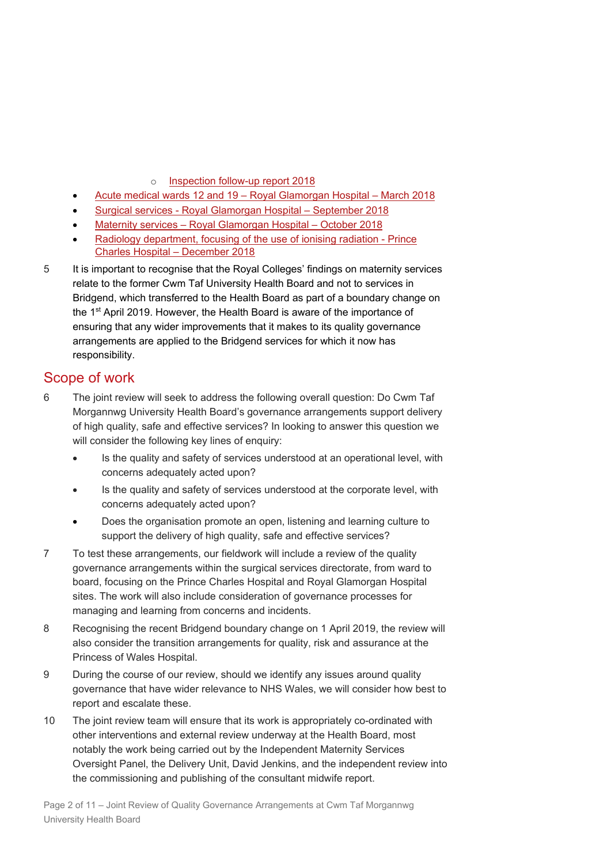- o [Inspection follow-up report 2018](https://hiw.org.uk/sites/default/files/2019-06/180917royalglamorganen.pdf)
- Acute medical wards [12 and 19 Royal Glamorgan Hospital March 2018](https://hiw.org.uk/sites/default/files/2019-06/180614royalglamorganen.pdf)
- Surgical [services Royal Glamorgan Hospital September 2018](https://hiw.org.uk/sites/default/files/2019-06/181228royalglamorgansurgicalen.pdf)
- [Maternity services Royal Glamorgan Hospital October 2018](https://hiw.org.uk/sites/default/files/2019-06/210119royalglamorganmaternityen.pdf)
- [Radiology department, focusing of the use of ionising radiation Prince](https://hiw.org.uk/sites/default/files/2019-06/130319princecharlesirmeren.pdf)  [Charles Hospital – December 2018](https://hiw.org.uk/sites/default/files/2019-06/130319princecharlesirmeren.pdf)
- 5 It is important to recognise that the Royal Colleges' findings on maternity services relate to the former Cwm Taf University Health Board and not to services in Bridgend, which transferred to the Health Board as part of a boundary change on the 1st April 2019. However, the Health Board is aware of the importance of ensuring that any wider improvements that it makes to its quality governance arrangements are applied to the Bridgend services for which it now has responsibility.

### Scope of work

- 6 The joint review will seek to address the following overall question: Do Cwm Taf Morgannwg University Health Board's governance arrangements support delivery of high quality, safe and effective services? In looking to answer this question we will consider the following key lines of enquiry:
	- Is the quality and safety of services understood at an operational level, with concerns adequately acted upon?
	- Is the quality and safety of services understood at the corporate level, with concerns adequately acted upon?
	- Does the organisation promote an open, listening and learning culture to support the delivery of high quality, safe and effective services?
- 7 To test these arrangements, our fieldwork will include a review of the quality governance arrangements within the surgical services directorate, from ward to board, focusing on the Prince Charles Hospital and Royal Glamorgan Hospital sites. The work will also include consideration of governance processes for managing and learning from concerns and incidents.
- 8 Recognising the recent Bridgend boundary change on 1 April 2019, the review will also consider the transition arrangements for quality, risk and assurance at the Princess of Wales Hospital.
- 9 During the course of our review, should we identify any issues around quality governance that have wider relevance to NHS Wales, we will consider how best to report and escalate these.
- 10 The joint review team will ensure that its work is appropriately co-ordinated with other interventions and external review underway at the Health Board, most notably the work being carried out by the Independent Maternity Services Oversight Panel, the Delivery Unit, David Jenkins, and the independent review into the commissioning and publishing of the consultant midwife report.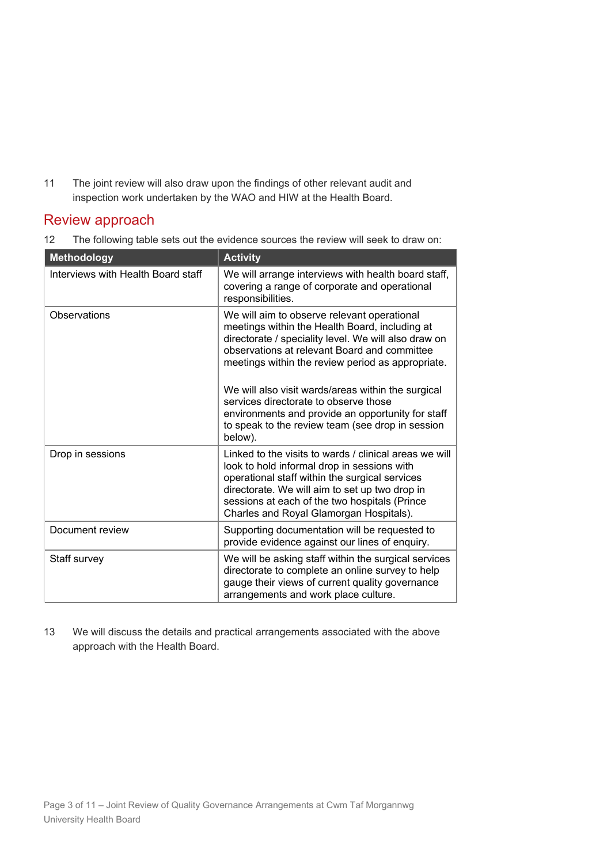11 The joint review will also draw upon the findings of other relevant audit and inspection work undertaken by the WAO and HIW at the Health Board.

### Review approach

12 The following table sets out the evidence sources the review will seek to draw on:

| <b>Methodology</b>                 | <b>Activity</b>                                                                                                                                                                                                                                                                                       |
|------------------------------------|-------------------------------------------------------------------------------------------------------------------------------------------------------------------------------------------------------------------------------------------------------------------------------------------------------|
| Interviews with Health Board staff | We will arrange interviews with health board staff,<br>covering a range of corporate and operational<br>responsibilities.                                                                                                                                                                             |
| Observations                       | We will aim to observe relevant operational<br>meetings within the Health Board, including at<br>directorate / speciality level. We will also draw on<br>observations at relevant Board and committee<br>meetings within the review period as appropriate.                                            |
|                                    | We will also visit wards/areas within the surgical<br>services directorate to observe those<br>environments and provide an opportunity for staff<br>to speak to the review team (see drop in session<br>below).                                                                                       |
| Drop in sessions                   | Linked to the visits to wards / clinical areas we will<br>look to hold informal drop in sessions with<br>operational staff within the surgical services<br>directorate. We will aim to set up two drop in<br>sessions at each of the two hospitals (Prince<br>Charles and Royal Glamorgan Hospitals). |
| Document review                    | Supporting documentation will be requested to<br>provide evidence against our lines of enquiry.                                                                                                                                                                                                       |
| Staff survey                       | We will be asking staff within the surgical services<br>directorate to complete an online survey to help<br>gauge their views of current quality governance<br>arrangements and work place culture.                                                                                                   |

13 We will discuss the details and practical arrangements associated with the above approach with the Health Board.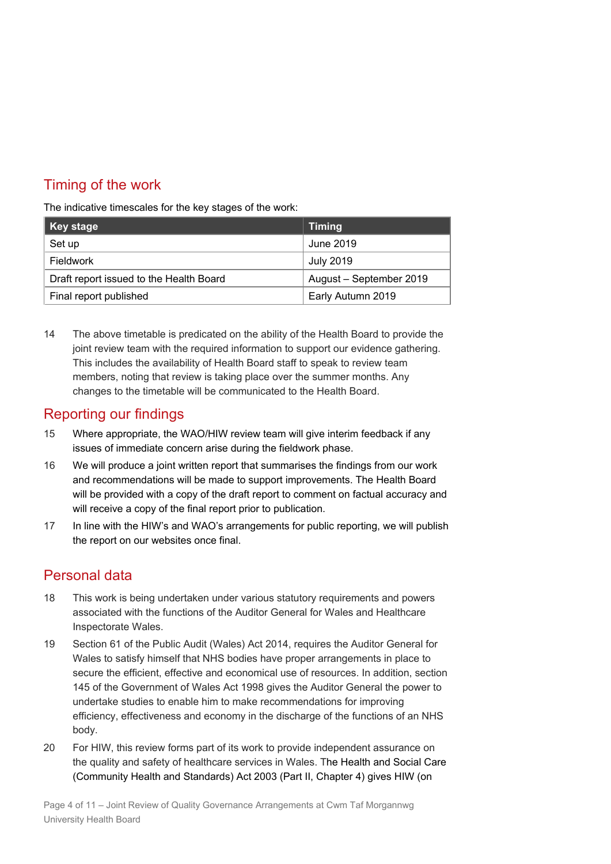## Timing of the work

The indicative timescales for the key stages of the work:

| ∥ Key stage                             | <b>Timing</b>           |
|-----------------------------------------|-------------------------|
| Set up                                  | June 2019               |
| Fieldwork                               | <b>July 2019</b>        |
| Draft report issued to the Health Board | August - September 2019 |
| Final report published                  | Early Autumn 2019       |

14 The above timetable is predicated on the ability of the Health Board to provide the joint review team with the required information to support our evidence gathering. This includes the availability of Health Board staff to speak to review team members, noting that review is taking place over the summer months. Any changes to the timetable will be communicated to the Health Board.

## Reporting our findings

- 15 Where appropriate, the WAO/HIW review team will give interim feedback if any issues of immediate concern arise during the fieldwork phase.
- 16 We will produce a joint written report that summarises the findings from our work and recommendations will be made to support improvements. The Health Board will be provided with a copy of the draft report to comment on factual accuracy and will receive a copy of the final report prior to publication.
- 17 In line with the HIW's and WAO's arrangements for public reporting, we will publish the report on our websites once final.

## Personal data

- 18 This work is being undertaken under various statutory requirements and powers associated with the functions of the Auditor General for Wales and Healthcare Inspectorate Wales.
- 19 Section 61 of the Public Audit (Wales) Act 2014, requires the Auditor General for Wales to satisfy himself that NHS bodies have proper arrangements in place to secure the efficient, effective and economical use of resources. In addition, section 145 of the Government of Wales Act 1998 gives the Auditor General the power to undertake studies to enable him to make recommendations for improving efficiency, effectiveness and economy in the discharge of the functions of an NHS body.
- 20 For HIW, this review forms part of its work to provide independent assurance on the quality and safety of healthcare services in Wales. The Health and Social Care (Community Health and Standards) Act 2003 (Part II, Chapter 4) gives HIW (on

Page 4 of 11 – Joint Review of Quality Governance Arrangements at Cwm Taf Morgannwg University Health Board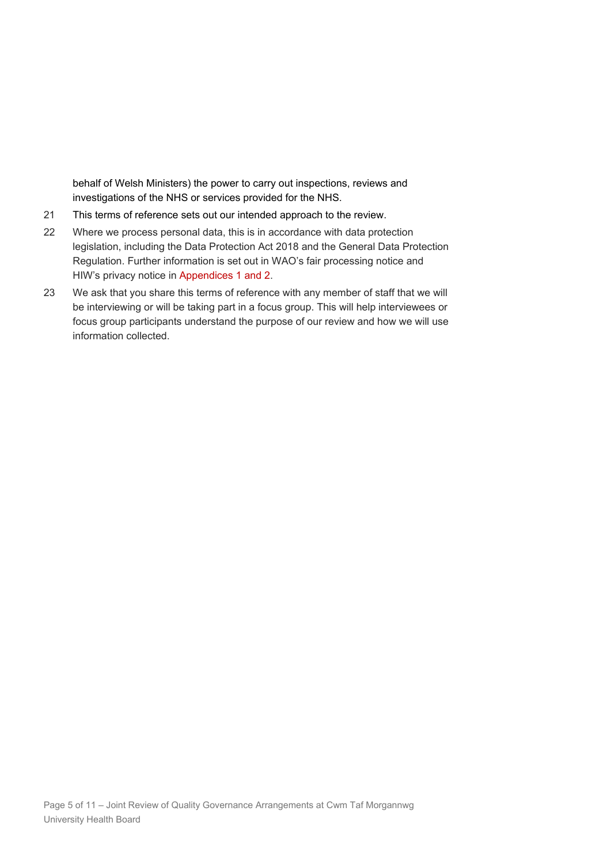behalf of Welsh Ministers) the power to carry out inspections, reviews and investigations of the NHS or services provided for the NHS.

- 21 This terms of reference sets out our intended approach to the review.
- 22 Where we process personal data, this is in accordance with data protection legislation, including the Data Protection Act 2018 and the General Data Protection Regulation. Further information is set out in WAO's fair processing notice and HIW's privacy notice in Appendices 1 and 2.
- 23 We ask that you share this terms of reference with any member of staff that we will be interviewing or will be taking part in a focus group. This will help interviewees or focus group participants understand the purpose of our review and how we will use information collected.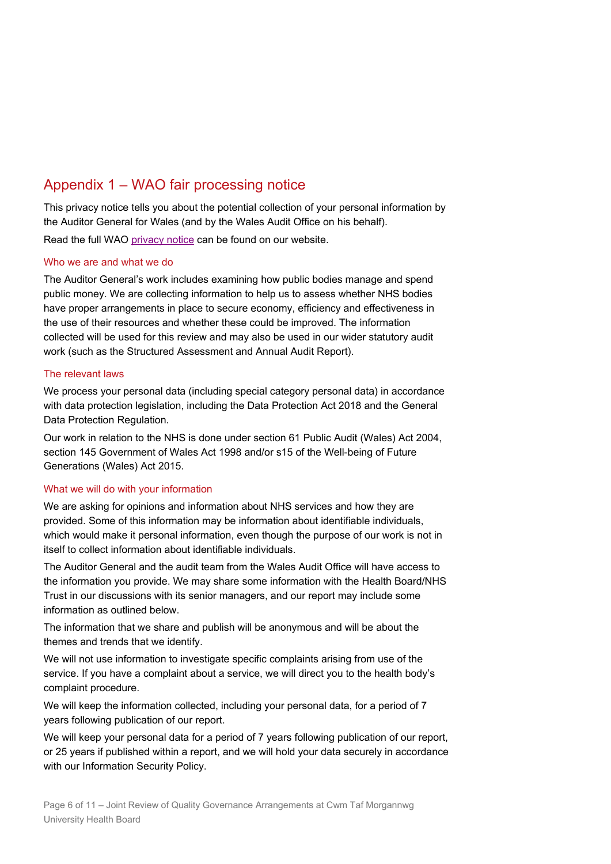## Appendix 1 – WAO fair processing notice

This privacy notice tells you about the potential collection of your personal information by the Auditor General for Wales (and by the Wales Audit Office on his behalf).

Read the full WAO [privacy notice](http://www.audit.wales/privacy-and-cookie-policy) can be found on our website.

#### Who we are and what we do

The Auditor General's work includes examining how public bodies manage and spend public money. We are collecting information to help us to assess whether NHS bodies have proper arrangements in place to secure economy, efficiency and effectiveness in the use of their resources and whether these could be improved. The information collected will be used for this review and may also be used in our wider statutory audit work (such as the Structured Assessment and Annual Audit Report).

#### The relevant laws

We process your personal data (including special category personal data) in accordance with data protection legislation, including the Data Protection Act 2018 and the General Data Protection Regulation.

Our work in relation to the NHS is done under section 61 Public Audit (Wales) Act 2004, section 145 Government of Wales Act 1998 and/or s15 of the Well-being of Future Generations (Wales) Act 2015.

#### What we will do with your information

We are asking for opinions and information about NHS services and how they are provided. Some of this information may be information about identifiable individuals, which would make it personal information, even though the purpose of our work is not in itself to collect information about identifiable individuals.

The Auditor General and the audit team from the Wales Audit Office will have access to the information you provide. We may share some information with the Health Board/NHS Trust in our discussions with its senior managers, and our report may include some information as outlined below.

The information that we share and publish will be anonymous and will be about the themes and trends that we identify.

We will not use information to investigate specific complaints arising from use of the service. If you have a complaint about a service, we will direct you to the health body's complaint procedure.

We will keep the information collected, including your personal data, for a period of 7 years following publication of our report.

We will keep your personal data for a period of 7 years following publication of our report, or 25 years if published within a report, and we will hold your data securely in accordance with our Information Security Policy.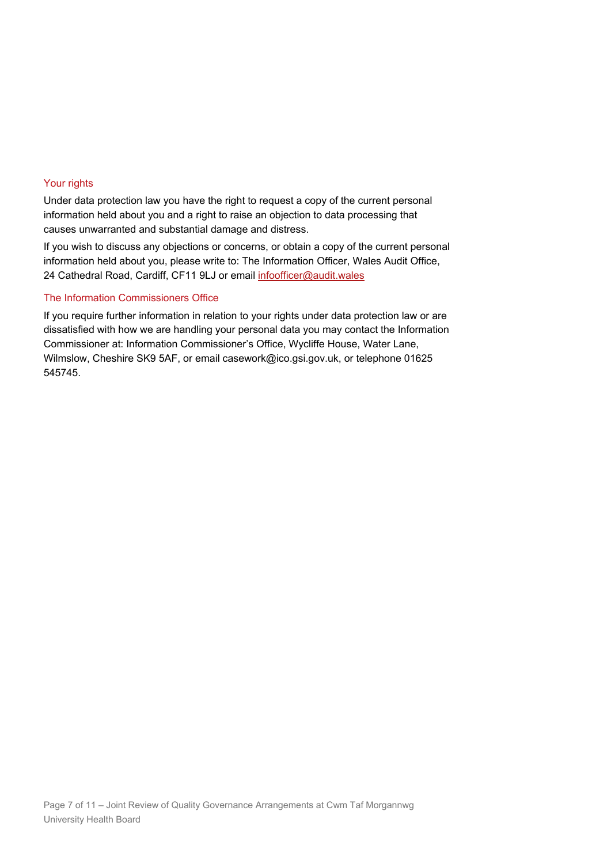#### Your rights

Under data protection law you have the right to request a copy of the current personal information held about you and a right to raise an objection to data processing that causes unwarranted and substantial damage and distress.

If you wish to discuss any objections or concerns, or obtain a copy of the current personal information held about you, please write to: The Information Officer, Wales Audit Office, 24 Cathedral Road, Cardiff, CF11 9LJ or email [infoofficer@audit.wales](mailto:infoofficer@audit.wales)

#### The Information Commissioners Office

If you require further information in relation to your rights under data protection law or are dissatisfied with how we are handling your personal data you may contact the Information Commissioner at: Information Commissioner's Office, Wycliffe House, Water Lane, Wilmslow, Cheshire SK9 5AF, or email casework@ico.gsi.gov.uk, or telephone 01625 545745.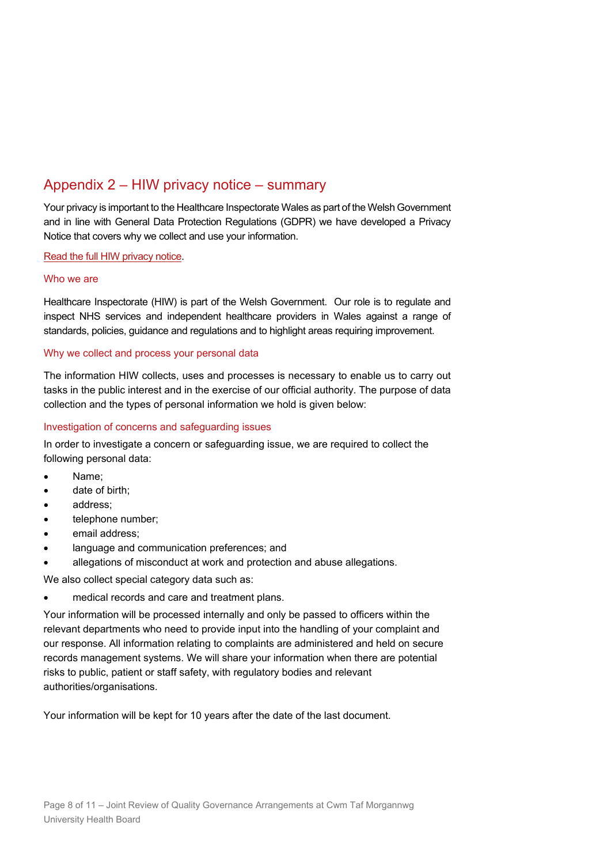## Appendix 2 – HIW privacy notice – summary

Your privacy is important to the Healthcare Inspectorate Wales as part of the Welsh Government and in line with General Data Protection Regulations (GDPR) we have developed a Privacy Notice that covers why we collect and use your information.

Read the full HIW [privacy notice.](https://hiw.org.uk/privacy-policy)

#### Who we are

Healthcare Inspectorate (HIW) is part of the Welsh Government. Our role is to regulate and inspect NHS services and independent healthcare providers in Wales against a range of standards, policies, guidance and regulations and to highlight areas requiring improvement.

#### Why we collect and process your personal data

The information HIW collects, uses and processes is necessary to enable us to carry out tasks in the public interest and in the exercise of our official authority. The purpose of data collection and the types of personal information we hold is given below:

#### Investigation of concerns and safeguarding issues

In order to investigate a concern or safeguarding issue, we are required to collect the following personal data:

- Name;
- date of birth;
- address;
- telephone number;
- email address:
- language and communication preferences; and
- allegations of misconduct at work and protection and abuse allegations.

We also collect special category data such as:

• medical records and care and treatment plans.

Your information will be processed internally and only be passed to officers within the relevant departments who need to provide input into the handling of your complaint and our response. All information relating to complaints are administered and held on secure records management systems. We will share your information when there are potential risks to public, patient or staff safety, with regulatory bodies and relevant authorities/organisations.

Your information will be kept for 10 years after the date of the last document.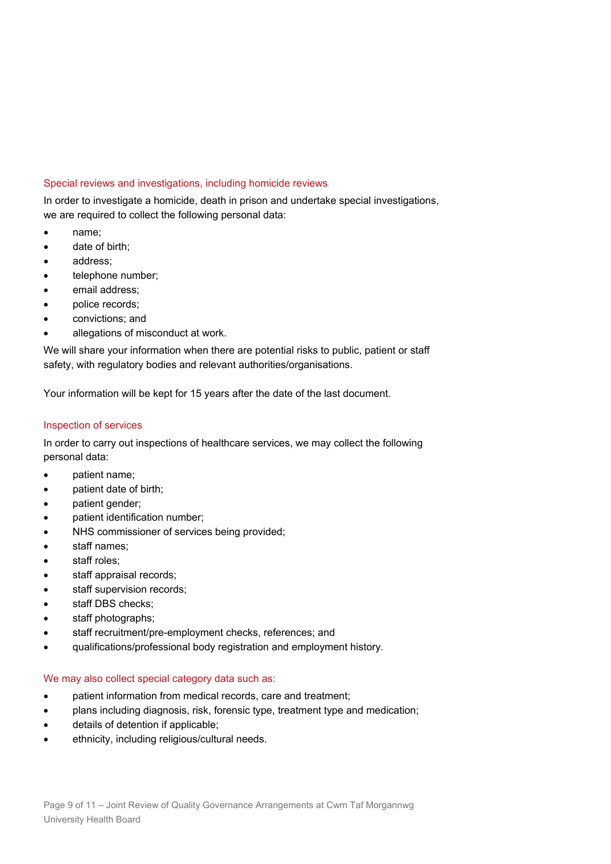#### Special reviews and investigations, including homicide reviews

In order to investigate a homicide, death in prison and undertake special investigations, we are required to collect the following personal data:

- name;
- date of birth:
- address;
- telephone number;
- email address:
- police records;
- convictions; and
- allegations of misconduct at work.

We will share your information when there are potential risks to public, patient or staff safety, with regulatory bodies and relevant authorities/organisations.

Your information will be kept for 15 years after the date of the last document.

#### Inspection of services

In order to carry out inspections of healthcare services, we may collect the following personal data:

- patient name;
- patient date of birth;
- patient gender;
- patient identification number;
- NHS commissioner of services being provided;
- staff names;
- staff roles;
- staff appraisal records;
- staff supervision records;
- staff DBS checks:
- staff photographs;
- staff recruitment/pre-employment checks, references; and
- qualifications/professional body registration and employment history.

#### We may also collect special category data such as:

- patient information from medical records, care and treatment;
- plans including diagnosis, risk, forensic type, treatment type and medication;
- details of detention if applicable;
- ethnicity, including religious/cultural needs.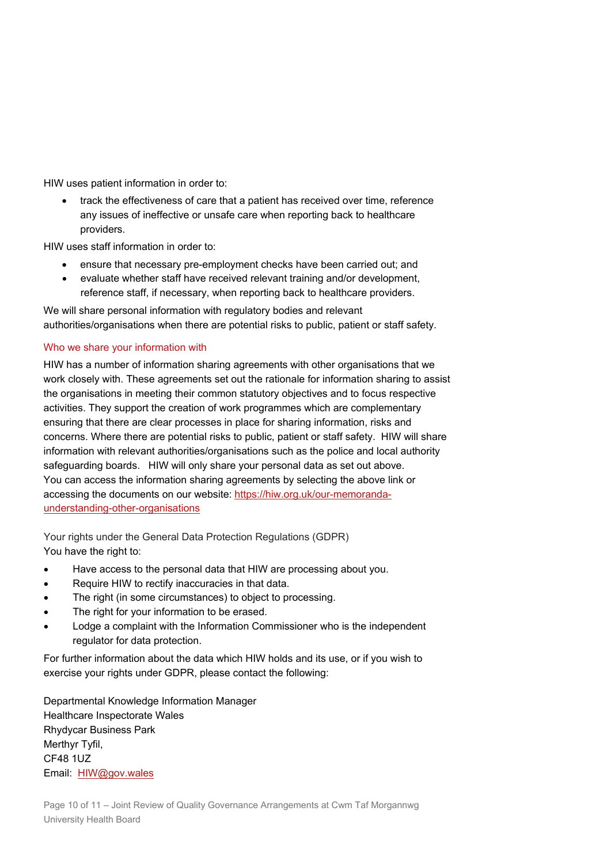HIW uses patient information in order to:

• track the effectiveness of care that a patient has received over time, reference any issues of ineffective or unsafe care when reporting back to healthcare providers.

HIW uses staff information in order to:

- ensure that necessary pre-employment checks have been carried out; and
- evaluate whether staff have received relevant training and/or development, reference staff, if necessary, when reporting back to healthcare providers.

We will share personal information with regulatory bodies and relevant authorities/organisations when there are potential risks to public, patient or staff safety.

#### Who we share your information with

HIW has a number of information sharing agreements with other organisations that we work closely with. These agreements set out the rationale for information sharing to assist the organisations in meeting their common statutory objectives and to focus respective activities. They support the creation of work programmes which are complementary ensuring that there are clear processes in place for sharing information, risks and concerns. Where there are potential risks to public, patient or staff safety. HIW will share information with relevant authorities/organisations such as the police and local authority safeguarding boards. HIW will only share your personal data as set out above. You can access the information sharing agreements by selecting the above link or accessing the documents on our website: [https://hiw.org.uk/our-memoranda](https://hiw.org.uk/our-memoranda-understanding-other-organisations)[understanding-other-organisations](https://hiw.org.uk/our-memoranda-understanding-other-organisations)

Your rights under the General Data Protection Regulations (GDPR) You have the right to:

- Have access to the personal data that HIW are processing about you.
- Require HIW to rectify inaccuracies in that data.
- The right (in some circumstances) to object to processing.
- The right for your information to be erased.
- Lodge a complaint with the Information Commissioner who is the independent regulator for data protection.

For further information about the data which HIW holds and its use, or if you wish to exercise your rights under GDPR, please contact the following:

Departmental Knowledge Information Manager Healthcare Inspectorate Wales Rhydycar Business Park Merthyr Tyfil, CF48 1UZ Email: [HIW@gov.wales](mailto:HIW@gov.wales)